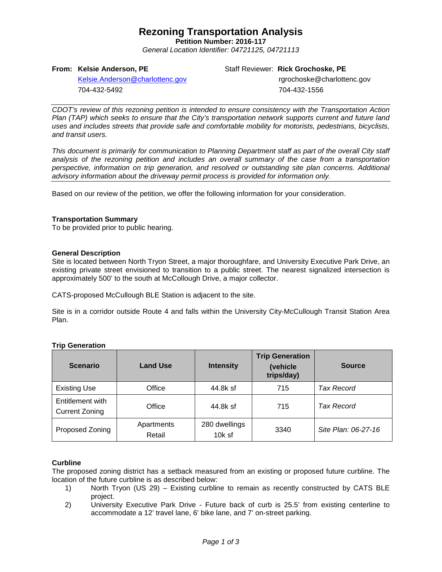## **Rezoning Transportation Analysis**

**Petition Number: 2016-117** *General Location Identifier: 04721125, 04721113*

## **From: Kelsie Anderson, PE**

Staff Reviewer: **Rick Grochoske, PE**

[Kelsie.Anderson@charlottenc.gov](mailto:Kelsie.Anderson@charlottenc.gov) 704-432-5492

rgrochoske@charlottenc.gov 704-432-1556

*CDOT's review of this rezoning petition is intended to ensure consistency with the Transportation Action Plan (TAP) which seeks to ensure that the City's transportation network supports current and future land uses and includes streets that provide safe and comfortable mobility for motorists, pedestrians, bicyclists, and transit users.*

*This document is primarily for communication to Planning Department staff as part of the overall City staff analysis of the rezoning petition and includes an overall summary of the case from a transportation perspective, information on trip generation, and resolved or outstanding site plan concerns. Additional advisory information about the driveway permit process is provided for information only.*

Based on our review of the petition, we offer the following information for your consideration.

## **Transportation Summary**

To be provided prior to public hearing.

## **General Description**

Site is located between North Tryon Street, a major thoroughfare, and University Executive Park Drive, an existing private street envisioned to transition to a public street. The nearest signalized intersection is approximately 500' to the south at McCollough Drive, a major collector.

CATS-proposed McCullough BLE Station is adjacent to the site.

Site is in a corridor outside Route 4 and falls within the University City-McCullough Transit Station Area Plan.

| <b>Scenario</b>                           | <b>Land Use</b>      | <b>Intensity</b>          | <b>Trip Generation</b><br>(vehicle<br>trips/day) | <b>Source</b>       |
|-------------------------------------------|----------------------|---------------------------|--------------------------------------------------|---------------------|
| <b>Existing Use</b>                       | Office               | 44.8k sf                  | 715                                              | <b>Tax Record</b>   |
| Entitlement with<br><b>Current Zoning</b> | Office               | 44.8k sf                  | 715                                              | <b>Tax Record</b>   |
| Proposed Zoning                           | Apartments<br>Retail | 280 dwellings<br>$10k$ sf | 3340                                             | Site Plan: 06-27-16 |

## **Trip Generation**

## **Curbline**

The proposed zoning district has a setback measured from an existing or proposed future curbline. The location of the future curbline is as described below:

- 1) North Tryon (US 29) Existing curbline to remain as recently constructed by CATS BLE project.
- 2) University Executive Park Drive Future back of curb is 25.5' from existing centerline to accommodate a 12' travel lane, 6' bike lane, and 7' on-street parking.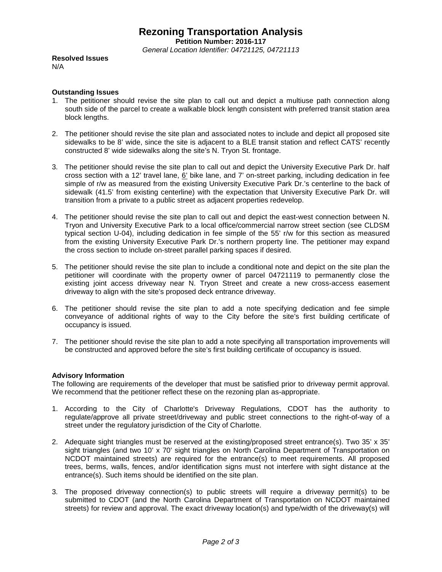## **Rezoning Transportation Analysis**

**Petition Number: 2016-117**

*General Location Identifier: 04721125, 04721113*

**Resolved Issues** N/A

## **Outstanding Issues**

- 1. The petitioner should revise the site plan to call out and depict a multiuse path connection along south side of the parcel to create a walkable block length consistent with preferred transit station area block lengths.
- 2. The petitioner should revise the site plan and associated notes to include and depict all proposed site sidewalks to be 8' wide, since the site is adjacent to a BLE transit station and reflect CATS' recently constructed 8' wide sidewalks along the site's N. Tryon St. frontage.
- 3. The petitioner should revise the site plan to call out and depict the University Executive Park Dr. half cross section with a 12' travel lane, 6' bike lane, and 7' on-street parking, including dedication in fee simple of r/w as measured from the existing University Executive Park Dr.'s centerline to the back of sidewalk (41.5' from existing centerline) with the expectation that University Executive Park Dr. will transition from a private to a public street as adjacent properties redevelop.
- 4. The petitioner should revise the site plan to call out and depict the east-west connection between N. Tryon and University Executive Park to a local office/commercial narrow street section (see CLDSM typical section U-04), including dedication in fee simple of the 55' r/w for this section as measured from the existing University Executive Park Dr.'s northern property line. The petitioner may expand the cross section to include on-street parallel parking spaces if desired.
- 5. The petitioner should revise the site plan to include a conditional note and depict on the site plan the petitioner will coordinate with the property owner of parcel 04721119 to permanently close the existing joint access driveway near N. Tryon Street and create a new cross-access easement driveway to align with the site's proposed deck entrance driveway.
- 6. The petitioner should revise the site plan to add a note specifying dedication and fee simple conveyance of additional rights of way to the City before the site's first building certificate of occupancy is issued.
- 7. The petitioner should revise the site plan to add a note specifying all transportation improvements will be constructed and approved before the site's first building certificate of occupancy is issued.

## **Advisory Information**

The following are requirements of the developer that must be satisfied prior to driveway permit approval. We recommend that the petitioner reflect these on the rezoning plan as-appropriate.

- 1. According to the City of Charlotte's Driveway Regulations, CDOT has the authority to regulate/approve all private street/driveway and public street connections to the right-of-way of a street under the regulatory jurisdiction of the City of Charlotte.
- 2. Adequate sight triangles must be reserved at the existing/proposed street entrance(s). Two 35' x 35' sight triangles (and two 10' x 70' sight triangles on North Carolina Department of Transportation on NCDOT maintained streets) are required for the entrance(s) to meet requirements. All proposed trees, berms, walls, fences, and/or identification signs must not interfere with sight distance at the entrance(s). Such items should be identified on the site plan.
- 3. The proposed driveway connection(s) to public streets will require a driveway permit(s) to be submitted to CDOT (and the North Carolina Department of Transportation on NCDOT maintained streets) for review and approval. The exact driveway location(s) and type/width of the driveway(s) will